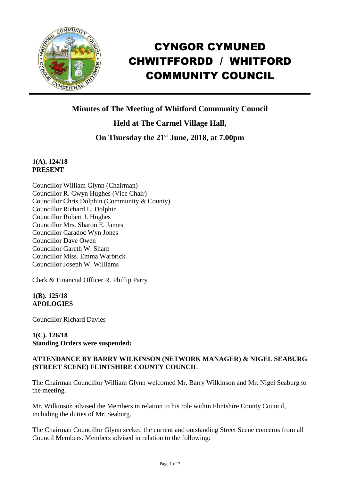

# CYNGOR CYMUNED CHWITFFORDD / WHITFORD COMMUNITY COUNCIL

**Minutes of The Meeting of Whitford Community Council**

**Held at The Carmel Village Hall,**

**On Thursday the 21st June, 2018, at 7.00pm**

## **1(A). 124/18 PRESENT**

Councillor William Glynn (Chairman) Councillor R. Gwyn Hughes (Vice Chair) Councillor Chris Dolphin (Community & County) Councillor Richard L. Dolphin Councillor Robert J. Hughes Councillor Mrs. Sharon E. James Councillor Caradoc Wyn Jones Councillor Dave Owen Councillor Gareth W. Sharp Councillor Miss. Emma Warbrick Councillor Joseph W. Williams

Clerk & Financial Officer R. Phillip Parry

## **1(B). 125/18 APOLOGIES**

Councillor Richard Davies

## **1(C). 126/18 Standing Orders were suspended:**

## **ATTENDANCE BY BARRY WILKINSON (NETWORK MANAGER) & NIGEL SEABURG (STREET SCENE) FLINTSHIRE COUNTY COUNCIL**

The Chairman Councillor William Glynn welcomed Mr. Barry Wilkinson and Mr. Nigel Seaburg to the meeting.

Mr. Wilkinson advised the Members in relation to his role within Flintshire County Council, including the duties of Mr. Seaburg.

The Chairman Councillor Glynn seeked the current and outstanding Street Scene concerns from all Council Members. Members advised in relation to the following: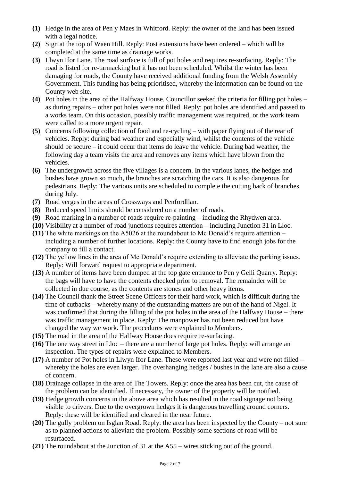- **(1)** Hedge in the area of Pen y Maes in Whitford. Reply: the owner of the land has been issued with a legal notice.
- **(2)** Sign at the top of Waen Hill. Reply: Post extensions have been ordered which will be completed at the same time as drainage works.
- **(3)** Llwyn Ifor Lane. The road surface is full of pot holes and requires re-surfacing. Reply: The road is listed for re-tarmacking but it has not been scheduled. Whilst the winter has been damaging for roads, the County have received additional funding from the Welsh Assembly Government. This funding has being prioritised, whereby the information can be found on the County web site.
- **(4)** Pot holes in the area of the Halfway House. Councillor seeked the criteria for filling pot holes as during repairs – other pot holes were not filled. Reply: pot holes are identified and passed to a works team. On this occasion, possibly traffic management was required, or the work team were called to a more urgent repair.
- **(5)** Concerns following collection of food and re-cycling with paper flying out of the rear of vehicles. Reply: during bad weather and especially wind, whilst the contents of the vehicle should be secure – it could occur that items do leave the vehicle. During bad weather, the following day a team visits the area and removes any items which have blown from the vehicles.
- **(6)** The undergrowth across the five villages is a concern. In the various lanes, the hedges and bushes have grown so much, the branches are scratching the cars. It is also dangerous for pedestrians. Reply: The various units are scheduled to complete the cutting back of branches during July.
- **(7)** Road verges in the areas of Crossways and Penfordllan.
- **(8)** Reduced speed limits should be considered on a number of roads.
- **(9)** Road marking in a number of roads require re-painting including the Rhydwen area.
- **(10)** Visibility at a number of road junctions requires attention including Junction 31 in Lloc.
- **(11)** The white markings on the A5026 at the roundabout to Mc Donald's require attention including a number of further locations. Reply: the County have to find enough jobs for the company to fill a contact.
- **(12)** The yellow lines in the area of Mc Donald's require extending to alleviate the parking issues. Reply: Will forward request to appropriate department.
- **(13)** A number of items have been dumped at the top gate entrance to Pen y Gelli Quarry. Reply: the bags will have to have the contents checked prior to removal. The remainder will be collected in due course, as the contents are stones and other heavy items.
- **(14)** The Council thank the Street Scene Officers for their hard work, which is difficult during the time of cutbacks – whereby many of the outstanding matters are out of the hand of Nigel. It was confirmed that during the filling of the pot holes in the area of the Halfway House – there was traffic management in place. Reply: The manpower has not been reduced but have changed the way we work. The procedures were explained to Members.
- **(15)** The road in the area of the Halfway House does require re-surfacing.
- **(16)** The one way street in Lloc there are a number of large pot holes. Reply: will arrange an inspection. The types of repairs were explained to Members.
- **(17)** A number of Pot holes in Llwyn Ifor Lane. These were reported last year and were not filled whereby the holes are even larger. The overhanging hedges / bushes in the lane are also a cause of concern.
- **(18)** Drainage collapse in the area of The Towers. Reply: once the area has been cut, the cause of the problem can be identified. If necessary, the owner of the property will be notified.
- **(19)** Hedge growth concerns in the above area which has resulted in the road signage not being visible to drivers. Due to the overgrown hedges it is dangerous travelling around corners. Reply: these will be identified and cleared in the near future.
- **(20)** The gully problem on Isglan Road. Reply: the area has been inspected by the County not sure as to planned actions to alleviate the problem. Possibly some sections of road will be resurfaced.
- **(21)** The roundabout at the Junction of 31 at the A55 wires sticking out of the ground.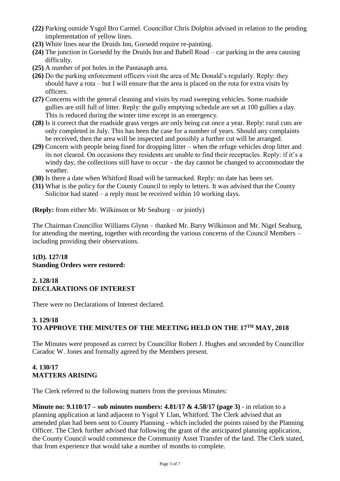- **(22)** Parking outside Ysgol Bro Carmel. Councillor Chris Dolphin advised in relation to the pending implementation of yellow lines.
- **(23)** White lines near the Druids Inn, Gorsedd require re-painting.
- **(24)** The junction in Gorsedd by the Druids Inn and Babell Road car parking in the area causing difficulty.
- **(25)** A number of pot holes in the Pantasaph area.
- **(26)** Do the parking enforcement officers visit the area of Mc Donald's regularly. Reply: they should have a rota – but I will ensure that the area is placed on the rota for extra visits by officers.
- **(27)** Concerns with the general cleaning and visits by road sweeping vehicles. Some roadside gullies are still full of litter. Reply: the gully emptying schedule are set at 100 gullies a day. This is reduced during the winter time except in an emergency.
- **(28)** Is it correct that the roadside grass verges are only being cut once a year. Reply: rural cuts are only completed in July. This has been the case for a number of years. Should any complaints be received, then the area will be inspected and possibly a further cut will be arranged.
- **(29)** Concern with people being fined for dropping litter when the refuge vehicles drop litter and its not cleared. On occasions they residents are unable to find their receptacles. Reply: if it's a windy day, the collections still have to occur – the day cannot be changed to accommodate the weather.
- **(30)** Is there a date when Whitford Road will be tarmacked. Reply: no date has been set.
- **(31)** What is the policy for the County Council to reply to letters. It was advised that the County Solicitor had stated – a reply must be received within 10 working days.

**(Reply:** from either Mr. Wilkinson or Mr Seaburg – or jointly)

The Chairman Councillor Williams Glynn – thanked Mr. Barry Wilkinson and Mr. Nigel Seaburg, for attending the meeting, together with recording the various concerns of the Council Members – including providing their observations.

## **1(D). 127/18 Standing Orders were restored:**

## **2. 128/18 DECLARATIONS OF INTEREST**

There were no Declarations of Interest declared.

#### **3. 129/18 TO APPROVE THE MINUTES OF THE MEETING HELD ON THE 17TH MAY, 2018**

The Minutes were proposed as correct by Councillor Robert J. Hughes and seconded by Councillor Caradoc W. Jones and formally agreed by the Members present.

## **4. 130/17 MATTERS ARISING**

The Clerk referred to the following matters from the previous Minutes:

**Minute no: 9.110/17 – sub minutes numbers: 4.81/17 & 4.58/17 (page 3)** - in relation to a planning application at land adjacent to Ysgol Y Llan, Whitford. The Clerk advised that an amended plan had been sent to County Planning - which included the points raised by the Planning Officer. The Clerk further advised that following the grant of the anticipated planning application, the County Council would commence the Community Asset Transfer of the land. The Clerk stated, that from experience that would take a number of months to complete.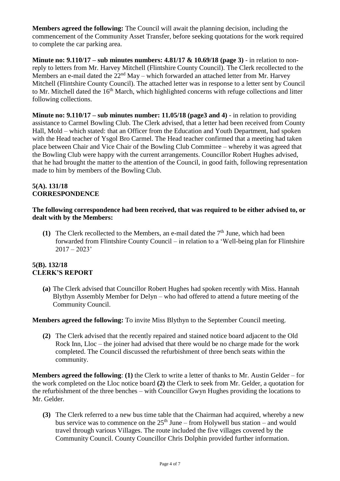**Members agreed the following:** The Council will await the planning decision, including the commencement of the Community Asset Transfer, before seeking quotations for the work required to complete the car parking area.

**Minute no: 9.110/17 – sub minutes numbers: 4.81/17 & 10.69/18 (page 3)** - in relation to nonreply to letters from Mr. Harvey Mitchell (Flintshire County Council). The Clerk recollected to the Members an e-mail dated the  $22<sup>nd</sup>$  May – which forwarded an attached letter from Mr. Harvey Mitchell (Flintshire County Council). The attached letter was in response to a letter sent by Council to Mr. Mitchell dated the 16<sup>th</sup> March, which highlighted concerns with refuge collections and litter following collections.

**Minute no: 9.110/17 – sub minutes number: 11.05/18 (page3 and 4)** - in relation to providing assistance to Carmel Bowling Club. The Clerk advised, that a letter had been received from County Hall, Mold – which stated: that an Officer from the Education and Youth Department, had spoken with the Head teacher of Ysgol Bro Carmel. The Head teacher confirmed that a meeting had taken place between Chair and Vice Chair of the Bowling Club Committee – whereby it was agreed that the Bowling Club were happy with the current arrangements. Councillor Robert Hughes advised, that he had brought the matter to the attention of the Council, in good faith, following representation made to him by members of the Bowling Club.

#### **5(A). 131/18 CORRESPONDENCE**

#### **The following correspondence had been received, that was required to be either advised to, or dealt with by the Members:**

**(1)** The Clerk recollected to the Members, an e-mail dated the  $7<sup>th</sup>$  June, which had been forwarded from Flintshire County Council – in relation to a 'Well-being plan for Flintshire  $2017 - 2023'$ 

## **5(B). 132/18 CLERK'S REPORT**

**(a)** The Clerk advised that Councillor Robert Hughes had spoken recently with Miss. Hannah Blythyn Assembly Member for Delyn – who had offered to attend a future meeting of the Community Council.

**Members agreed the following:** To invite Miss Blythyn to the September Council meeting.

**(2)** The Clerk advised that the recently repaired and stained notice board adjacent to the Old Rock Inn, Lloc – the joiner had advised that there would be no charge made for the work completed. The Council discussed the refurbishment of three bench seats within the community.

**Members agreed the following**: **(1)** the Clerk to write a letter of thanks to Mr. Austin Gelder – for the work completed on the Lloc notice board **(2)** the Clerk to seek from Mr. Gelder, a quotation for the refurbishment of the three benches – with Councillor Gwyn Hughes providing the locations to Mr. Gelder.

**(3)** The Clerk referred to a new bus time table that the Chairman had acquired, whereby a new bus service was to commence on the  $25<sup>th</sup>$  June – from Holywell bus station – and would travel through various Villages. The route included the five villages covered by the Community Council. County Councillor Chris Dolphin provided further information.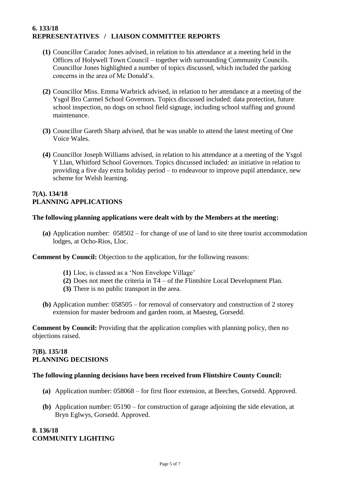## **6. 133/18 REPRESENTATIVES / LIAISON COMMITTEE REPORTS**

- **(1)** Councillor Caradoc Jones advised, in relation to his attendance at a meeting held in the Offices of Holywell Town Council – together with surrounding Community Councils. Councillor Jones highlighted a number of topics discussed, which included the parking concerns in the area of Mc Donald's.
- **(2)** Councillor Miss. Emma Warbrick advised, in relation to her attendance at a meeting of the Ysgol Bro Carmel School Governors. Topics discussed included: data protection, future school inspection, no dogs on school field signage, including school staffing and ground maintenance.
- **(3)** Councillor Gareth Sharp advised, that he was unable to attend the latest meeting of One Voice Wales.
- **(4)** Councillor Joseph Williams advised, in relation to his attendance at a meeting of the Ysgol Y Llan, Whitford School Governors. Topics discussed included: an initiative in relation to providing a five day extra holiday period – to endeavour to improve pupil attendance, new scheme for Welsh learning.

#### **7(A). 134/18 PLANNING APPLICATIONS**

#### **The following planning applications were dealt with by the Members at the meeting:**

**(a)** Application number: 058502 – for change of use of land to site three tourist accommodation lodges, at Ocho-Rios, Lloc.

**Comment by Council:** Objection to the application, for the following reasons:

- **(1)** Lloc, is classed as a 'Non Envelope Village'
- **(2)** Does not meet the criteria in T4 of the Flintshire Local Development Plan.
- **(3)** There is no public transport in the area.
- **(b)** Application number: 058505 for removal of conservatory and construction of 2 storey extension for master bedroom and garden room, at Maesteg, Gorsedd.

**Comment by Council:** Providing that the application complies with planning policy, then no objections raised.

## **7(B). 135/18 PLANNING DECISIONS**

#### **The following planning decisions have been received from Flintshire County Council:**

- **(a)** Application number: 058068 for first floor extension, at Beeches, Gorsedd. Approved.
- **(b)** Application number: 05190 for construction of garage adjoining the side elevation, at Bryn Eglwys, Gorsedd. Approved.

#### **8. 136/18 COMMUNITY LIGHTING**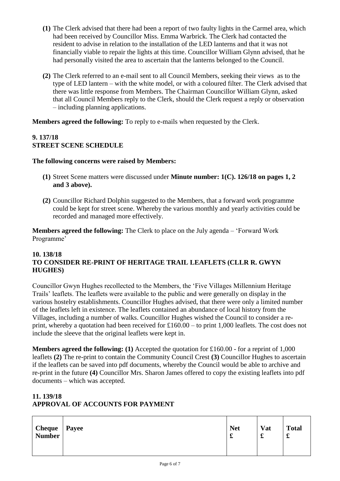- **(1)** The Clerk advised that there had been a report of two faulty lights in the Carmel area, which had been received by Councillor Miss. Emma Warbrick. The Clerk had contacted the resident to advise in relation to the installation of the LED lanterns and that it was not financially viable to repair the lights at this time. Councillor William Glynn advised, that he had personally visited the area to ascertain that the lanterns belonged to the Council.
- **(2)** The Clerk referred to an e-mail sent to all Council Members, seeking their views as to the type of LED lantern – with the white model, or with a coloured filter. The Clerk advised that there was little response from Members. The Chairman Councillor William Glynn, asked that all Council Members reply to the Clerk, should the Clerk request a reply or observation – including planning applications.

**Members agreed the following:** To reply to e-mails when requested by the Clerk.

## **9. 137/18 STREET SCENE SCHEDULE**

#### **The following concerns were raised by Members:**

- **(1)** Street Scene matters were discussed under **Minute number: 1(C). 126/18 on pages 1, 2 and 3 above).**
- **(2)** Councillor Richard Dolphin suggested to the Members, that a forward work programme could be kept for street scene. Whereby the various monthly and yearly activities could be recorded and managed more effectively.

**Members agreed the following:** The Clerk to place on the July agenda – 'Forward Work Programme'

## **10. 138/18 TO CONSIDER RE-PRINT OF HERITAGE TRAIL LEAFLETS (CLLR R. GWYN HUGHES)**

Councillor Gwyn Hughes recollected to the Members, the 'Five Villages Millennium Heritage Trails' leaflets. The leaflets were available to the public and were generally on display in the various hostelry establishments. Councillor Hughes advised, that there were only a limited number of the leaflets left in existence. The leaflets contained an abundance of local history from the Villages, including a number of walks. Councillor Hughes wished the Council to consider a reprint, whereby a quotation had been received for £160.00 – to print 1,000 leaflets. The cost does not include the sleeve that the original leaflets were kept in.

**Members agreed the following: (1)** Accepted the quotation for £160.00 - for a reprint of 1,000 leaflets **(2)** The re-print to contain the Community Council Crest **(3)** Councillor Hughes to ascertain if the leaflets can be saved into pdf documents, whereby the Council would be able to archive and re-print in the future **(4)** Councillor Mrs. Sharon James offered to copy the existing leaflets into pdf documents – which was accepted.

# **11. 139/18 APPROVAL OF ACCOUNTS FOR PAYMENT**

| <b>Cheque</b> | <b>Payee</b> | <b>Net</b> | Vat | <b>Total</b> |
|---------------|--------------|------------|-----|--------------|
| <b>Number</b> |              | x          | t   | t            |
|               |              |            |     |              |